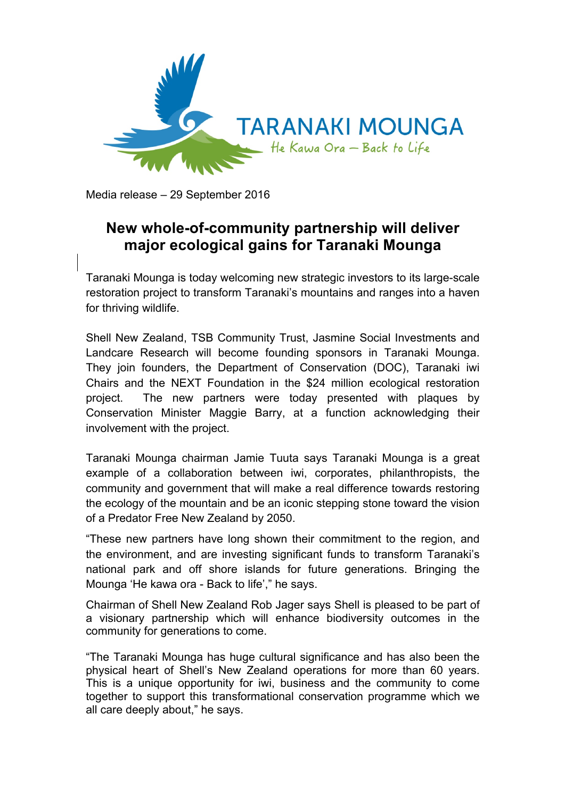

Media release – 29 September 2016

## **New whole-of-community partnership will deliver major ecological gains for Taranaki Mounga**

Taranaki Mounga is today welcoming new strategic investors to its large-scale restoration project to transform Taranaki's mountains and ranges into a haven for thriving wildlife.

Shell New Zealand, TSB Community Trust, Jasmine Social Investments and Landcare Research will become founding sponsors in Taranaki Mounga. They join founders, the Department of Conservation (DOC), Taranaki iwi Chairs and the NEXT Foundation in the \$24 million ecological restoration project. The new partners were today presented with plaques by Conservation Minister Maggie Barry, at a function acknowledging their involvement with the project.

Taranaki Mounga chairman Jamie Tuuta says Taranaki Mounga is a great example of a collaboration between iwi, corporates, philanthropists, the community and government that will make a real difference towards restoring the ecology of the mountain and be an iconic stepping stone toward the vision of a Predator Free New Zealand by 2050.

"These new partners have long shown their commitment to the region, and the environment, and are investing significant funds to transform Taranaki's national park and off shore islands for future generations. Bringing the Mounga 'He kawa ora - Back to life'," he says.

Chairman of Shell New Zealand Rob Jager says Shell is pleased to be part of a visionary partnership which will enhance biodiversity outcomes in the community for generations to come.

"The Taranaki Mounga has huge cultural significance and has also been the physical heart of Shell's New Zealand operations for more than 60 years. This is a unique opportunity for iwi, business and the community to come together to support this transformational conservation programme which we all care deeply about," he says.